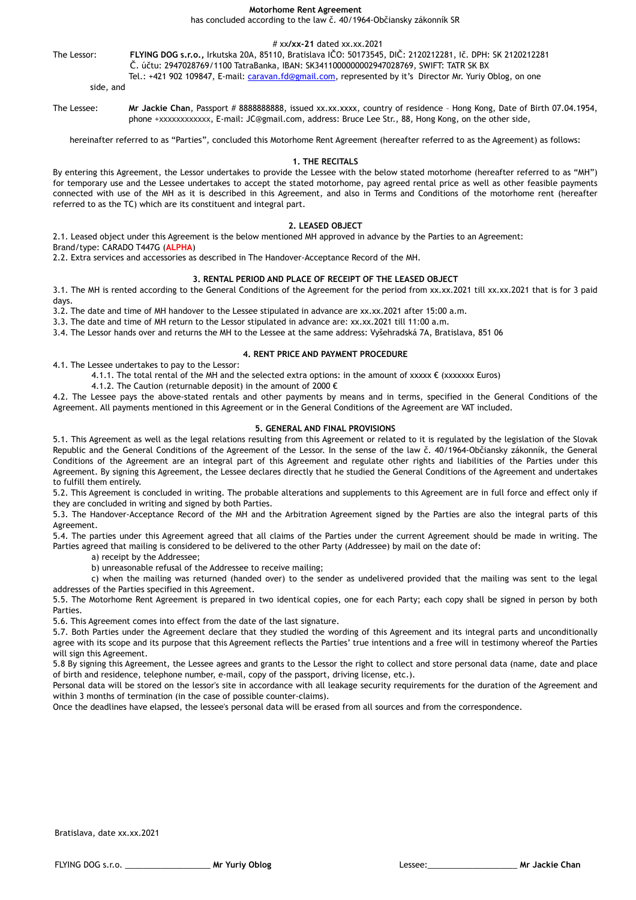**Motorhome Rent Agreement** 

has concluded according to the law č. 40/1964-Občiansky zákonník SR

# xx**/xx-21** dated xx.xx.2021

The Lessor: **FLYING DOG s.r.o.,** Irkutska 20A, 85110, Bratislava IČO: 50173545, DIČ: 2120212281, Ič. DPH: SK 2120212281 Č. účtu: 2947028769/1100 TatraBanka, IBAN: SK3411000000002947028769, SWIFT: TATR SK BX

Tel.: +421 902 109847, E-mail: [caravan.fd@gmail.com,](mailto:caravan.fd@gmail.com) represented by it's Director Mr. Yuriy Oblog, on one

side, and

The Lessee: Mr Jackie Chan, Passport # 8888888888, issued xx.xx.xxxx, country of residence - Hong Kong, Date of Birth 07.04.1954, phone +xxxxxxxxxxxx, E-mail: JC@gmail.com, address: Bruce Lee Str., 88, Hong Kong, on the other side,

hereinafter referred to as "Parties", concluded this Motorhome Rent Agreement (hereafter referred to as the Agreement) as follows:

### **1. THE RECITALS**

By entering this Agreement, the Lessor undertakes to provide the Lessee with the below stated motorhome (hereafter referred to as "MH") for temporary use and the Lessee undertakes to accept the stated motorhome, pay agreed rental price as well as other feasible payments connected with use of the MH as it is described in this Agreement, and also in Terms and Conditions of the motorhome rent (hereafter referred to as the TC) which are its constituent and integral part.

### **2. LEASED OBJECT**

2.1. Leased object under this Agreement is the below mentioned MH approved in advance by the Parties to an Agreement:

Brand/type: CARADO T447G (**ALPHA**)

2.2. Extra services and accessories as described in The Handover-Acceptance Record of the MH.

## **3. RENTAL PERIOD AND PLACE OF RECEIPT OF THE LEASED OBJECT**

3.1. The MH is rented according to the General Conditions of the Agreement for the period from xx.xx.2021 till xx.xx.2021 that is for 3 paid days.

3.2. The date and time of MH handover to the Lessee stipulated in advance are xx.xx.2021 after 15:00 a.m.

3.3. The date and time of MH return to the Lessor stipulated in advance are: xx.xx.2021 till 11:00 a.m.

3.4. The Lessor hands over and returns the MH to the Lessee at the same address: Vyšehradská 7A, Bratislava, 851 06

## **4. RENT PRICE AND PAYMENT PROCEDURE**

4.1. The Lessee undertakes to pay to the Lessor:

4.1.1. The total rental of the MH and the selected extra options: in the amount of xxxxx  $\epsilon$  (xxxxxxx Euros)

4.1.2. The Caution (returnable deposit) in the amount of 2000 €

4.2. The Lessee pays the above-stated rentals and other payments by means and in terms, specified in the General Conditions of the Agreement. All payments mentioned in this Agreement or in the General Conditions of the Agreement are VAT included.

## **5. GENERAL AND FINAL PROVISIONS**

5.1. This Agreement as well as the legal relations resulting from this Agreement or related to it is regulated by the legislation of the Slovak Republic and the General Conditions of the Agreement of the Lessor. In the sense of the law č. 40/1964-Občiansky zákonník, the General Conditions of the Agreement are an integral part of this Agreement and regulate other rights and liabilities of the Parties under this Agreement. By signing this Agreement, the Lessee declares directly that he studied the General Conditions of the Agreement and undertakes to fulfill them entirely.

5.2. This Agreement is concluded in writing. The probable alterations and supplements to this Agreement are in full force and effect only if they are concluded in writing and signed by both Parties.

5.3. The Handover-Acceptance Record of the MH and the Arbitration Agreement signed by the Parties are also the integral parts of this Agreement.

5.4. The parties under this Agreement agreed that all claims of the Parties under the current Agreement should be made in writing. The Parties agreed that mailing is considered to be delivered to the other Party (Addressee) by mail on the date of:

a) receipt by the Addressee;

b) unreasonable refusal of the Addressee to receive mailing;

c) when the mailing was returned (handed over) to the sender as undelivered provided that the mailing was sent to the legal addresses of the Parties specified in this Agreement.

5.5. The Motorhome Rent Agreement is prepared in two identical copies, one for each Party; each copy shall be signed in person by both Parties.

5.6. This Agreement comes into effect from the date of the last signature.

5.7. Both Parties under the Agreement declare that they studied the wording of this Agreement and its integral parts and unconditionally agree with its scope and its purpose that this Agreement reflects the Parties' true intentions and a free will in testimony whereof the Parties will sign this Agreement.

5.8 By signing this Agreement, the Lessee agrees and grants to the Lessor the right to collect and store personal data (name, date and place of birth and residence, telephone number, e-mail, copy of the passport, driving license, etc.).

Personal data will be stored on the lessor's site in accordance with all leakage security requirements for the duration of the Agreement and within 3 months of termination (in the case of possible counter-claims).

Once the deadlines have elapsed, the lessee's personal data will be erased from all sources and from the correspondence.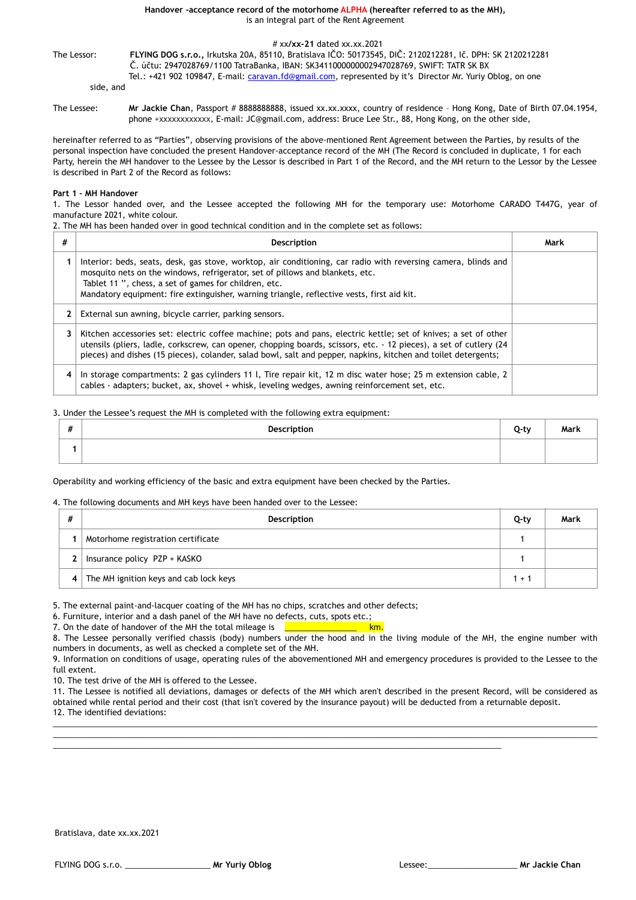**Handover -acceptance record of the motorhome ALPHA (hereafter referred to as the MH),**  is an integral part of the Rent Agreement

#### # xx**/xx-21** dated xx.xx.2021

The Lessor: **FLYING DOG s.r.o.,** Irkutska 20A, 85110, Bratislava IČO: 50173545, DIČ: 2120212281, Ič. DPH: SK 2120212281 Č. účtu: 2947028769/1100 TatraBanka, IBAN: SK3411000000002947028769, SWIFT: TATR SK BX

Tel.: +421 902 109847, E-mail: [caravan.fd@gmail.com,](mailto:caravan.fd@gmail.com) represented by it's Director Mr. Yuriy Oblog, on one

side, and

The Lessee: Mr Jackie Chan, Passport # 8888888888, issued xx.xx.xxxx, country of residence - Hong Kong, Date of Birth 07.04.1954, phone +xxxxxxxxxxxx, E-mail: JC@gmail.com, address: Bruce Lee Str., 88, Hong Kong, on the other side,

hereinafter referred to as "Parties", observing provisions of the above-mentioned Rent Agreement between the Parties, by results of the personal inspection have concluded the present Handover-acceptance record of the MH (The Record is concluded in duplicate, 1 for each Party, herein the MH handover to the Lessee by the Lessor is described in Part 1 of the Record, and the MH return to the Lessor by the Lessee is described in Part 2 of the Record as follows:

### **Part 1 – MH Handover**

1. The Lessor handed over, and the Lessee accepted the following MH for the temporary use: Motorhome CARADO T447G, year of manufacture 2021, white colour.

2. The MH has been handed over in good technical condition and in the complete set as follows:

| # | <b>Description</b>                                                                                                                                                                                                                                                                                                                                      | Mark |
|---|---------------------------------------------------------------------------------------------------------------------------------------------------------------------------------------------------------------------------------------------------------------------------------------------------------------------------------------------------------|------|
|   | Interior: beds, seats, desk, gas stove, worktop, air conditioning, car radio with reversing camera, blinds and<br>mosquito nets on the windows, refrigerator, set of pillows and blankets, etc.<br>Tablet 11 ", chess, a set of games for children, etc.<br>Mandatory equipment: fire extinguisher, warning triangle, reflective vests, first aid kit.  |      |
|   | External sun awning, bicycle carrier, parking sensors.                                                                                                                                                                                                                                                                                                  |      |
|   | Kitchen accessories set: electric coffee machine; pots and pans, electric kettle; set of knives; a set of other<br>utensils (pliers, ladle, corkscrew, can opener, chopping boards, scissors, etc. - 12 pieces), a set of cutlery (24<br>pieces) and dishes (15 pieces), colander, salad bowl, salt and pepper, napkins, kitchen and toilet detergents; |      |
|   | In storage compartments: 2 gas cylinders 11 l, Tire repair kit, 12 m disc water hose; 25 m extension cable, 2<br>cables - adapters; bucket, ax, shovel + whisk, leveling wedges, awning reinforcement set, etc.                                                                                                                                         |      |

### 3. Under the Lessee's request the MH is completed with the following extra equipment:

| $\boldsymbol{\mu}$<br># | Description | $0-tv$ | $\cdots$<br>Mark |
|-------------------------|-------------|--------|------------------|
|                         |             |        |                  |

Operability and working efficiency of the basic and extra equipment have been checked by the Parties.

### 4. The following documents and MH keys have been handed over to the Lessee:

| # | Description                            | Q-ty  | Mark |
|---|----------------------------------------|-------|------|
|   | Motorhome registration certificate     |       |      |
| 2 | Insurance policy PZP + KASKO           |       |      |
| 4 | The MH ignition keys and cab lock keys | $1 +$ |      |

5. The external paint-and-lacquer coating of the MH has no chips, scratches and other defects;

6. Furniture, interior and a dash panel of the MH have no defects, cuts, spots etc.;<br>7. On the date of handover of the MH the total mileage is

7. On the date of handover of the MH the total mileage is

8. The Lessee personally verified chassis (body) numbers under the hood and in the living module of the MH, the engine number with numbers in documents, as well as checked a complete set of the MH.

9. Information on conditions of usage, operating rules of the abovementioned MH and emergency procedures is provided to the Lessee to the full extent.

10. The test drive of the MH is offered to the Lessee.

11. The Lessee is notified all deviations, damages or defects of the MH which aren't described in the present Record, will be considered as obtained while rental period and their cost (that isn't covered by the insurance payout) will be deducted from a returnable deposit. 12. The identified deviations:

\_\_\_\_\_\_\_\_\_\_\_\_\_\_\_\_\_\_\_\_\_\_\_\_\_\_\_\_\_\_\_\_\_\_\_\_\_\_\_\_\_\_\_\_\_\_\_\_\_\_\_\_\_\_\_\_\_\_\_\_\_\_\_\_\_\_\_\_\_\_\_\_\_\_\_\_\_\_\_\_\_\_\_\_\_\_\_\_\_\_\_\_\_\_\_\_\_\_\_\_\_\_\_\_\_\_\_\_\_\_\_\_\_\_\_\_\_\_\_\_\_ \_\_\_\_\_\_\_\_\_\_\_\_\_\_\_\_\_\_\_\_\_\_\_\_\_\_\_\_\_\_\_\_\_\_\_\_\_\_\_\_\_\_\_\_\_\_\_\_\_\_\_\_\_\_\_\_\_\_\_\_\_\_\_\_\_\_\_\_\_\_\_\_\_\_\_\_\_\_\_\_\_\_\_\_\_\_\_\_\_\_\_\_\_\_\_\_\_\_\_\_\_\_\_\_\_\_\_\_\_\_\_\_\_\_\_\_\_\_\_\_\_

\_\_\_\_\_\_\_\_\_\_\_\_\_\_\_\_\_\_\_\_\_\_\_\_\_\_\_\_\_\_\_\_\_\_\_\_\_\_\_\_\_\_\_\_\_\_\_\_\_\_\_\_\_\_\_\_\_\_\_\_\_\_\_\_\_\_\_\_\_\_\_\_\_\_\_\_\_\_\_\_\_\_\_\_\_\_\_\_\_\_\_\_\_\_\_\_\_\_\_\_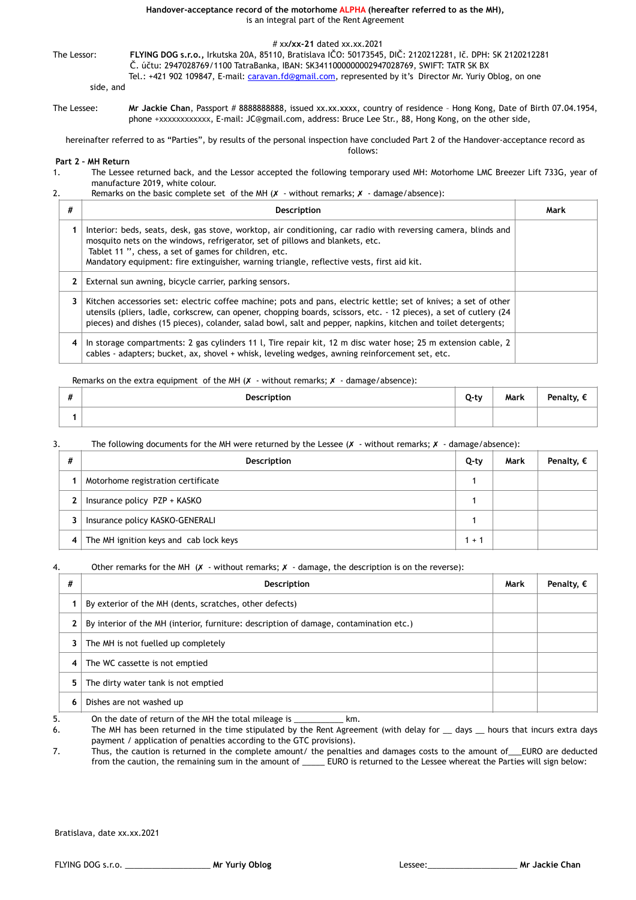**Handover-acceptance record of the motorhome ALPHA (hereafter referred to as the MH),**  is an integral part of the Rent Agreement

### # xx**/xx-21** dated xx.xx.2021

The Lessor: **FLYING DOG s.r.o.,** Irkutska 20A, 85110, Bratislava IČO: 50173545, DIČ: 2120212281, Ič. DPH: SK 2120212281 Č. účtu: 2947028769/1100 TatraBanka, IBAN: SK3411000000002947028769, SWIFT: TATR SK BX

Tel.: +421 902 109847, E-mail: [caravan.fd@gmail.com,](mailto:caravan.fd@gmail.com) represented by it's Director Mr. Yuriy Oblog, on one

side, and

The Lessee: Mr Jackie Chan, Passport # 8888888888, issued xx.xx.xxxx, country of residence - Hong Kong, Date of Birth 07.04.1954, phone +xxxxxxxxxxxx, E-mail: JC@gmail.com, address: Bruce Lee Str., 88, Hong Kong, on the other side,

hereinafter referred to as "Parties", by results of the personal inspection have concluded Part 2 of the Handover-acceptance record as follows:

# **Part 2 – MH Return**

1. The Lessee returned back, and the Lessor accepted the following temporary used MH: Motorhome LMC Breezer Lift 733G, year of manufacture 2019, white colour.

## 2. Remarks on the basic complete set of the MH  $(X - \text{without remarks}; X - \text{damage/absence}):$

| # | <b>Description</b>                                                                                                                                                                                                                                                                                                                                      | Mark |
|---|---------------------------------------------------------------------------------------------------------------------------------------------------------------------------------------------------------------------------------------------------------------------------------------------------------------------------------------------------------|------|
|   | Interior: beds, seats, desk, gas stove, worktop, air conditioning, car radio with reversing camera, blinds and<br>mosquito nets on the windows, refrigerator, set of pillows and blankets, etc.<br>Tablet 11 ", chess, a set of games for children, etc.<br>Mandatory equipment: fire extinguisher, warning triangle, reflective vests, first aid kit.  |      |
| 2 | External sun awning, bicycle carrier, parking sensors.                                                                                                                                                                                                                                                                                                  |      |
| 3 | Kitchen accessories set: electric coffee machine; pots and pans, electric kettle; set of knives; a set of other<br>utensils (pliers, ladle, corkscrew, can opener, chopping boards, scissors, etc. - 12 pieces), a set of cutlery (24<br>pieces) and dishes (15 pieces), colander, salad bowl, salt and pepper, napkins, kitchen and toilet detergents; |      |
| 4 | In storage compartments: 2 gas cylinders 11 l, Tire repair kit, 12 m disc water hose; 25 m extension cable, 2<br>cables - adapters; bucket, ax, shovel + whisk, leveling wedges, awning reinforcement set, etc.                                                                                                                                         |      |

## Remarks on the extra equipment of the MH  $(X -$  without remarks;  $X -$  damage/absence):

| $\boldsymbol{\mu}$<br># | Description | 0-tv | Mark | Penalty, |
|-------------------------|-------------|------|------|----------|
|                         |             |      |      |          |

# 3. The following documents for the MH were returned by the Lessee ( $X -$  without remarks:  $X -$  damage/absence):

| # | Description                            | Q-ty    | Mark | Penalty, $\epsilon$ |
|---|----------------------------------------|---------|------|---------------------|
|   | Motorhome registration certificate     |         |      |                     |
| 2 | Insurance policy PZP + KASKO           |         |      |                     |
| 3 | Insurance policy KASKO-GENERALI        |         |      |                     |
| 4 | The MH ignition keys and cab lock keys | $1 + 1$ |      |                     |

### 4. Other remarks for the MH  $(X -$  without remarks;  $X -$  damage, the description is on the reverse):

| #              | Description                                                                            | Mark | Penalty, $\epsilon$ |
|----------------|----------------------------------------------------------------------------------------|------|---------------------|
|                | By exterior of the MH (dents, scratches, other defects)                                |      |                     |
| 2              | By interior of the MH (interior, furniture: description of damage, contamination etc.) |      |                     |
| 3              | The MH is not fuelled up completely                                                    |      |                     |
| $\overline{4}$ | The WC cassette is not emptied                                                         |      |                     |
| 5.             | The dirty water tank is not emptied                                                    |      |                     |
|                | Dishes are not washed up                                                               |      |                     |

5. On the date of return of the MH the total mileage is \_\_\_\_\_\_\_\_\_\_\_ km.

6. The MH has been returned in the time stipulated by the Rent Agreement (with delay for \_\_ days \_\_ hours that incurs extra days payment / application of penalties according to the GTC provisions).

7. Thus, the caution is returned in the complete amount/ the penalties and damages costs to the amount of\_\_\_EURO are deducted from the caution, the remaining sum in the amount of \_\_\_\_\_ EURO is returned to the Lessee whereat the Parties will sign below:

Bratislava, date xx.xx.2021